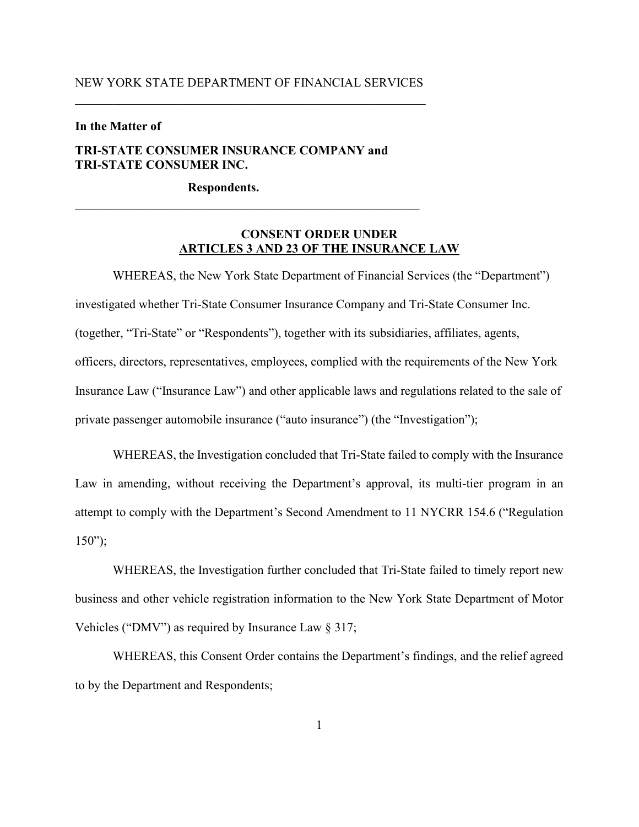#### NEW YORK STATE DEPARTMENT OF FINANCIAL SERVICES

#### **In the Matter of**

## **TRI-STATE CONSUMER INSURANCE COMPANY and TRI-STATE CONSUMER INC.**

\_\_\_\_\_\_\_\_\_\_\_\_\_\_\_\_\_\_\_\_\_\_\_\_\_\_\_\_\_\_\_\_\_\_\_\_\_\_\_\_\_\_\_\_\_\_\_\_\_\_\_\_\_\_\_

**Respondents.**

## **CONSENT ORDER UNDER ARTICLES 3 AND 23 OF THE INSURANCE LAW**

WHEREAS, the New York State Department of Financial Services (the "Department") investigated whether Tri-State Consumer Insurance Company and Tri-State Consumer Inc. (together, "Tri-State" or "Respondents"), together with its subsidiaries, affiliates, agents, officers, directors, representatives, employees, complied with the requirements of the New York Insurance Law ("Insurance Law") and other applicable laws and regulations related to the sale of private passenger automobile insurance ("auto insurance") (the "Investigation");

WHEREAS, the Investigation concluded that Tri-State failed to comply with the Insurance Law in amending, without receiving the Department's approval, its multi-tier program in an attempt to comply with the Department's Second Amendment to 11 NYCRR 154.6 ("Regulation  $150$ ");

WHEREAS, the Investigation further concluded that Tri-State failed to timely report new business and other vehicle registration information to the New York State Department of Motor Vehicles ("DMV") as required by Insurance Law § 317;

WHEREAS, this Consent Order contains the Department's findings, and the relief agreed to by the Department and Respondents;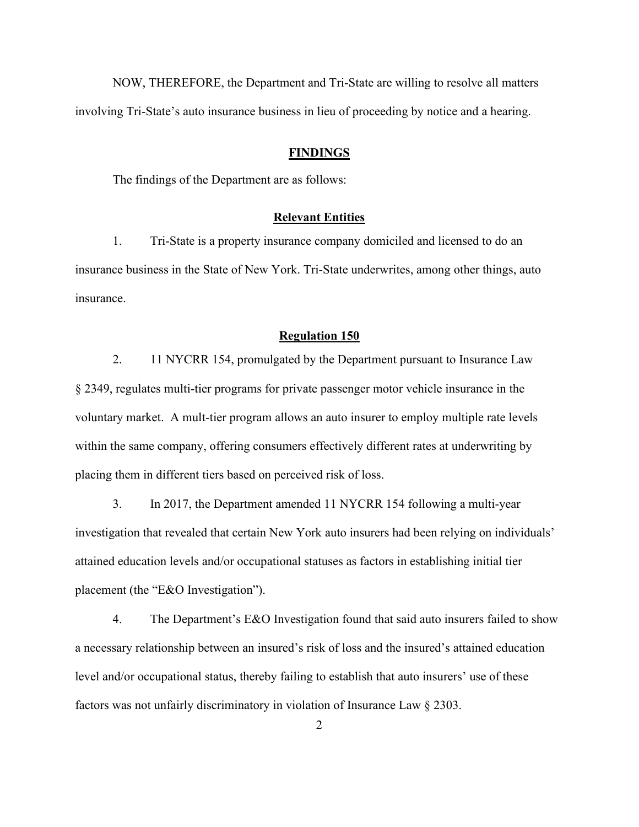NOW, THEREFORE, the Department and Tri-State are willing to resolve all matters involving Tri-State's auto insurance business in lieu of proceeding by notice and a hearing.

#### **FINDINGS**

The findings of the Department are as follows:

#### **Relevant Entities**

1. Tri-State is a property insurance company domiciled and licensed to do an insurance business in the State of New York. Tri-State underwrites, among other things, auto insurance.

#### **Regulation 150**

2. 11 NYCRR 154, promulgated by the Department pursuant to Insurance Law § 2349, regulates multi-tier programs for private passenger motor vehicle insurance in the voluntary market. A mult-tier program allows an auto insurer to employ multiple rate levels within the same company, offering consumers effectively different rates at underwriting by placing them in different tiers based on perceived risk of loss.

3. In 2017, the Department amended 11 NYCRR 154 following a multi-year investigation that revealed that certain New York auto insurers had been relying on individuals' attained education levels and/or occupational statuses as factors in establishing initial tier placement (the "E&O Investigation").

4. The Department's E&O Investigation found that said auto insurers failed to show a necessary relationship between an insured's risk of loss and the insured's attained education level and/or occupational status, thereby failing to establish that auto insurers' use of these factors was not unfairly discriminatory in violation of Insurance Law § 2303.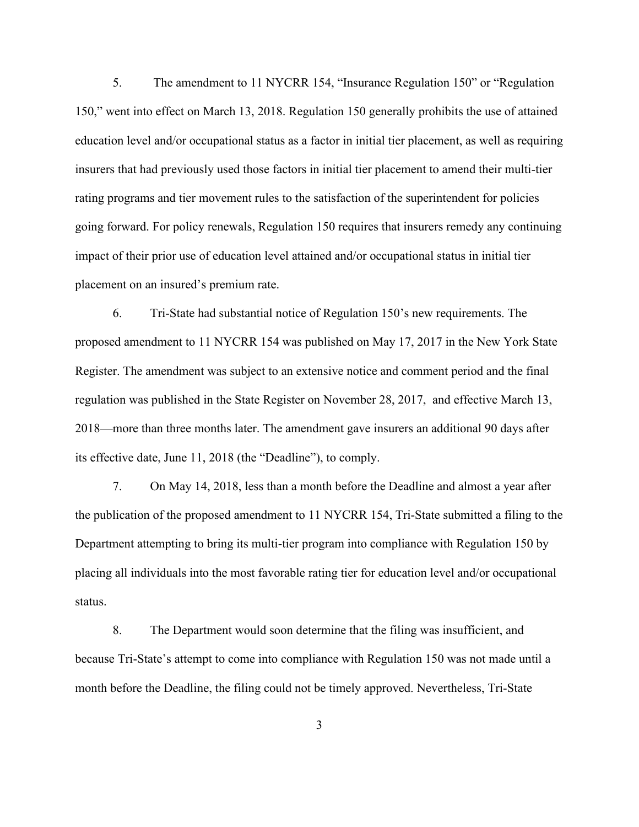5. The amendment to 11 NYCRR 154, "Insurance Regulation 150" or "Regulation 150," went into effect on March 13, 2018. Regulation 150 generally prohibits the use of attained education level and/or occupational status as a factor in initial tier placement, as well as requiring insurers that had previously used those factors in initial tier placement to amend their multi-tier rating programs and tier movement rules to the satisfaction of the superintendent for policies going forward. For policy renewals, Regulation 150 requires that insurers remedy any continuing impact of their prior use of education level attained and/or occupational status in initial tier placement on an insured's premium rate.

6. Tri-State had substantial notice of Regulation 150's new requirements. The proposed amendment to 11 NYCRR 154 was published on May 17, 2017 in the New York State Register. The amendment was subject to an extensive notice and comment period and the final regulation was published in the State Register on November 28, 2017, and effective March 13, 2018—more than three months later. The amendment gave insurers an additional 90 days after its effective date, June 11, 2018 (the "Deadline"), to comply.

7. On May 14, 2018, less than a month before the Deadline and almost a year after the publication of the proposed amendment to 11 NYCRR 154, Tri-State submitted a filing to the Department attempting to bring its multi-tier program into compliance with Regulation 150 by placing all individuals into the most favorable rating tier for education level and/or occupational status.

8. The Department would soon determine that the filing was insufficient, and because Tri-State's attempt to come into compliance with Regulation 150 was not made until a month before the Deadline, the filing could not be timely approved. Nevertheless, Tri-State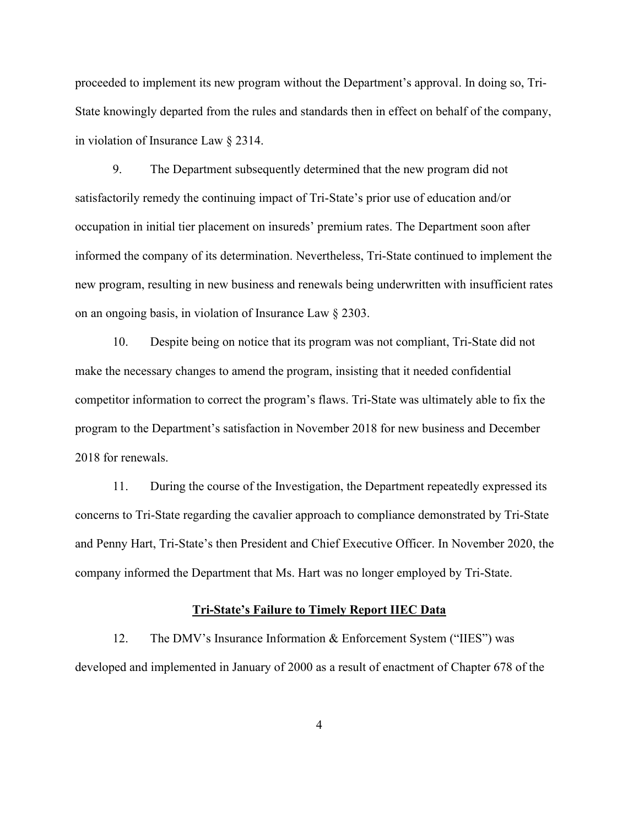proceeded to implement its new program without the Department's approval. In doing so, Tri-State knowingly departed from the rules and standards then in effect on behalf of the company, in violation of Insurance Law § 2314.

9. The Department subsequently determined that the new program did not satisfactorily remedy the continuing impact of Tri-State's prior use of education and/or occupation in initial tier placement on insureds' premium rates. The Department soon after informed the company of its determination. Nevertheless, Tri-State continued to implement the new program, resulting in new business and renewals being underwritten with insufficient rates on an ongoing basis, in violation of Insurance Law § 2303.

10. Despite being on notice that its program was not compliant, Tri-State did not make the necessary changes to amend the program, insisting that it needed confidential competitor information to correct the program's flaws. Tri-State was ultimately able to fix the program to the Department's satisfaction in November 2018 for new business and December 2018 for renewals.

11. During the course of the Investigation, the Department repeatedly expressed its concerns to Tri-State regarding the cavalier approach to compliance demonstrated by Tri-State and Penny Hart, Tri-State's then President and Chief Executive Officer. In November 2020, the company informed the Department that Ms. Hart was no longer employed by Tri-State.

#### **Tri-State's Failure to Timely Report IIEC Data**

12. The DMV's Insurance Information & Enforcement System ("IIES") was developed and implemented in January of 2000 as a result of enactment of Chapter 678 of the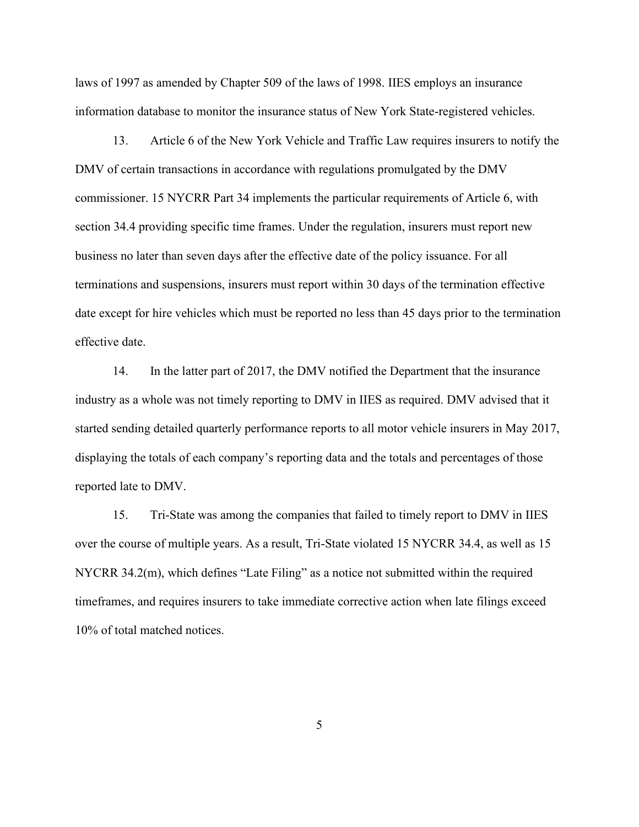laws of 1997 as amended by Chapter 509 of the laws of 1998. IIES employs an insurance information database to monitor the insurance status of New York State-registered vehicles.

13. Article 6 of the New York Vehicle and Traffic Law requires insurers to notify the DMV of certain transactions in accordance with regulations promulgated by the DMV commissioner. 15 NYCRR Part 34 implements the particular requirements of Article 6, with section 34.4 providing specific time frames. Under the regulation, insurers must report new business no later than seven days after the effective date of the policy issuance. For all terminations and suspensions, insurers must report within 30 days of the termination effective date except for hire vehicles which must be reported no less than 45 days prior to the termination effective date.

14. In the latter part of 2017, the DMV notified the Department that the insurance industry as a whole was not timely reporting to DMV in IIES as required. DMV advised that it started sending detailed quarterly performance reports to all motor vehicle insurers in May 2017, displaying the totals of each company's reporting data and the totals and percentages of those reported late to DMV.

15. Tri-State was among the companies that failed to timely report to DMV in IIES over the course of multiple years. As a result, Tri-State violated 15 NYCRR 34.4, as well as 15 NYCRR 34.2(m), which defines "Late Filing" as a notice not submitted within the required timeframes, and requires insurers to take immediate corrective action when late filings exceed 10% of total matched notices.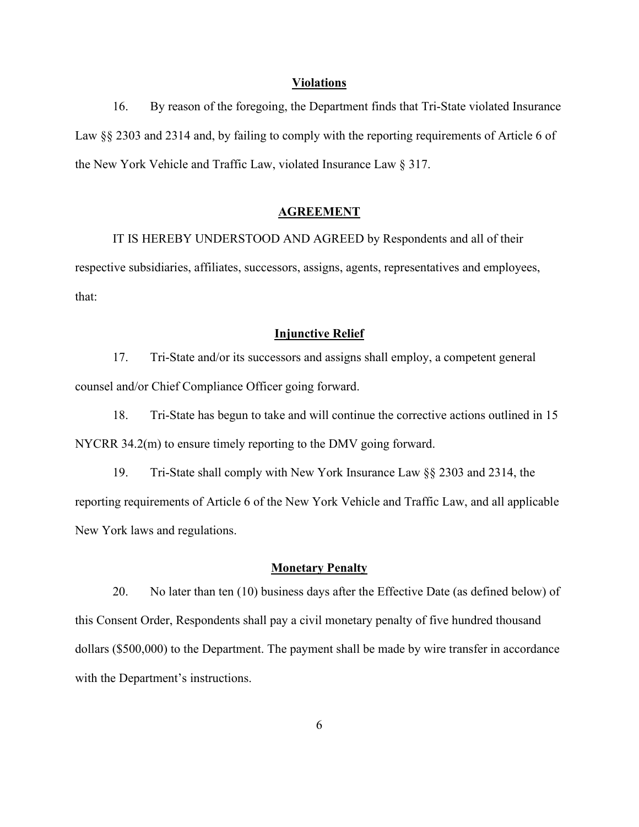#### **Violations**

16. By reason of the foregoing, the Department finds that Tri-State violated Insurance Law §§ 2303 and 2314 and, by failing to comply with the reporting requirements of Article 6 of the New York Vehicle and Traffic Law, violated Insurance Law § 317.

#### **AGREEMENT**

IT IS HEREBY UNDERSTOOD AND AGREED by Respondents and all of their respective subsidiaries, affiliates, successors, assigns, agents, representatives and employees, that:

## **Injunctive Relief**

17. Tri-State and/or its successors and assigns shall employ, a competent general counsel and/or Chief Compliance Officer going forward.

18. Tri-State has begun to take and will continue the corrective actions outlined in 15 NYCRR 34.2(m) to ensure timely reporting to the DMV going forward.

19. Tri-State shall comply with New York Insurance Law §§ 2303 and 2314, the reporting requirements of Article 6 of the New York Vehicle and Traffic Law, and all applicable New York laws and regulations.

### **Monetary Penalty**

20. No later than ten (10) business days after the Effective Date (as defined below) of this Consent Order, Respondents shall pay a civil monetary penalty of five hundred thousand dollars (\$500,000) to the Department. The payment shall be made by wire transfer in accordance with the Department's instructions.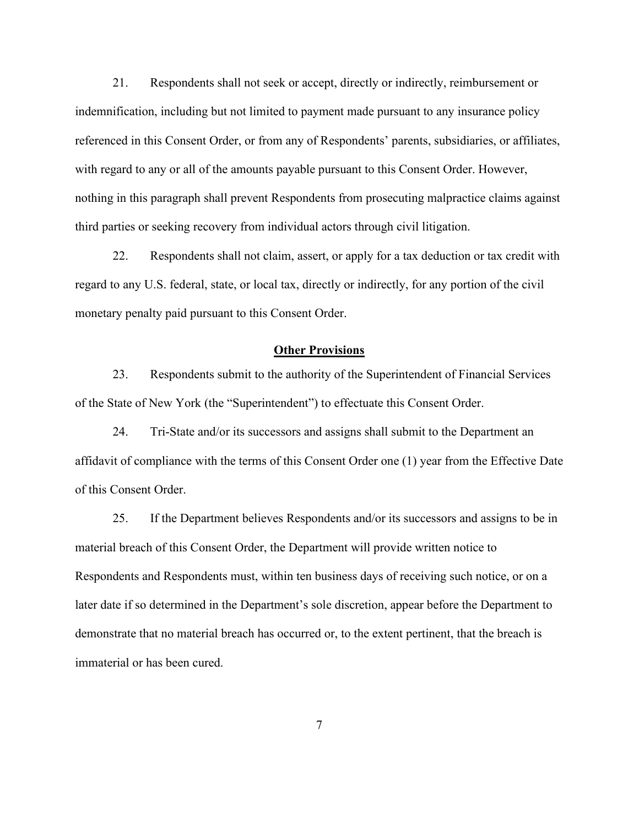21. Respondents shall not seek or accept, directly or indirectly, reimbursement or indemnification, including but not limited to payment made pursuant to any insurance policy referenced in this Consent Order, or from any of Respondents' parents, subsidiaries, or affiliates, with regard to any or all of the amounts payable pursuant to this Consent Order. However, nothing in this paragraph shall prevent Respondents from prosecuting malpractice claims against third parties or seeking recovery from individual actors through civil litigation.

22. Respondents shall not claim, assert, or apply for a tax deduction or tax credit with regard to any U.S. federal, state, or local tax, directly or indirectly, for any portion of the civil monetary penalty paid pursuant to this Consent Order.

#### **Other Provisions**

23. Respondents submit to the authority of the Superintendent of Financial Services of the State of New York (the "Superintendent") to effectuate this Consent Order.

24. Tri-State and/or its successors and assigns shall submit to the Department an affidavit of compliance with the terms of this Consent Order one (1) year from the Effective Date of this Consent Order.

<span id="page-6-0"></span>25. If the Department believes Respondents and/or its successors and assigns to be in material breach of this Consent Order, the Department will provide written notice to Respondents and Respondents must, within ten business days of receiving such notice, or on a later date if so determined in the Department's sole discretion, appear before the Department to demonstrate that no material breach has occurred or, to the extent pertinent, that the breach is immaterial or has been cured.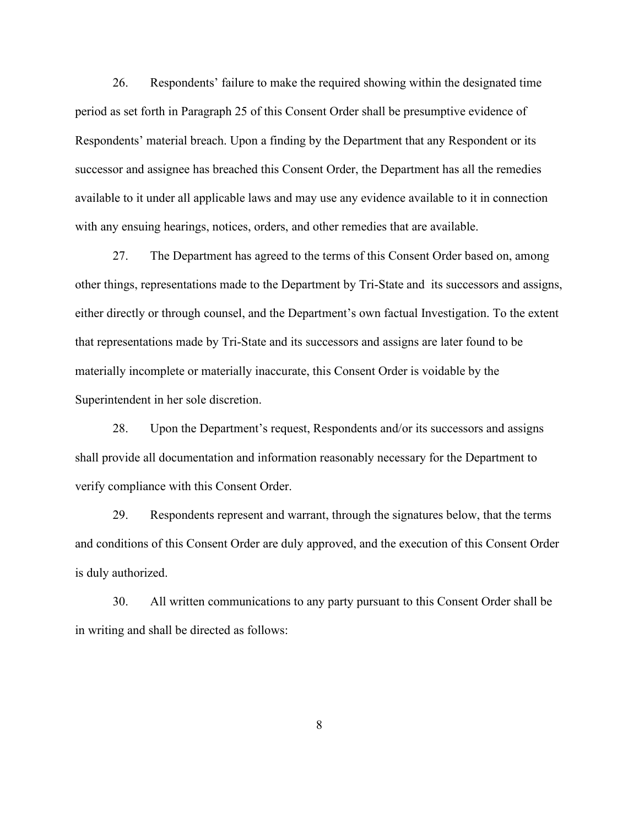26. Respondents' failure to make the required showing within the designated time period as set forth in Paragraph [25](#page-6-0) of this Consent Order shall be presumptive evidence of Respondents' material breach. Upon a finding by the Department that any Respondent or its successor and assignee has breached this Consent Order, the Department has all the remedies available to it under all applicable laws and may use any evidence available to it in connection with any ensuing hearings, notices, orders, and other remedies that are available.

27. The Department has agreed to the terms of this Consent Order based on, among other things, representations made to the Department by Tri-State and its successors and assigns, either directly or through counsel, and the Department's own factual Investigation. To the extent that representations made by Tri-State and its successors and assigns are later found to be materially incomplete or materially inaccurate, this Consent Order is voidable by the Superintendent in her sole discretion.

28. Upon the Department's request, Respondents and/or its successors and assigns shall provide all documentation and information reasonably necessary for the Department to verify compliance with this Consent Order.

29. Respondents represent and warrant, through the signatures below, that the terms and conditions of this Consent Order are duly approved, and the execution of this Consent Order is duly authorized.

30. All written communications to any party pursuant to this Consent Order shall be in writing and shall be directed as follows: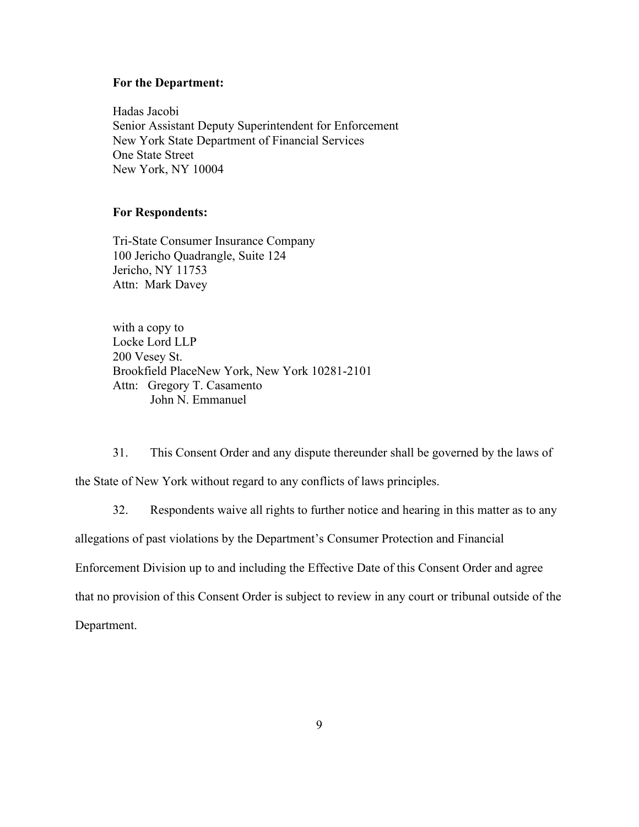#### **For the Department:**

Hadas Jacobi Senior Assistant Deputy Superintendent for Enforcement New York State Department of Financial Services One State Street New York, NY 10004

#### **For Respondents:**

Tri-State Consumer Insurance Company 100 Jericho Quadrangle, Suite 124 Jericho, NY 11753 Attn: Mark Davey

with a copy to Locke Lord LLP 200 Vesey St. Brookfield PlaceNew York, New York 10281-2101 Attn: Gregory T. Casamento John N. Emmanuel

31. This Consent Order and any dispute thereunder shall be governed by the laws of the State of New York without regard to any conflicts of laws principles.

32. Respondents waive all rights to further notice and hearing in this matter as to any

allegations of past violations by the Department's Consumer Protection and Financial

Enforcement Division up to and including the Effective Date of this Consent Order and agree

that no provision of this Consent Order is subject to review in any court or tribunal outside of the

Department.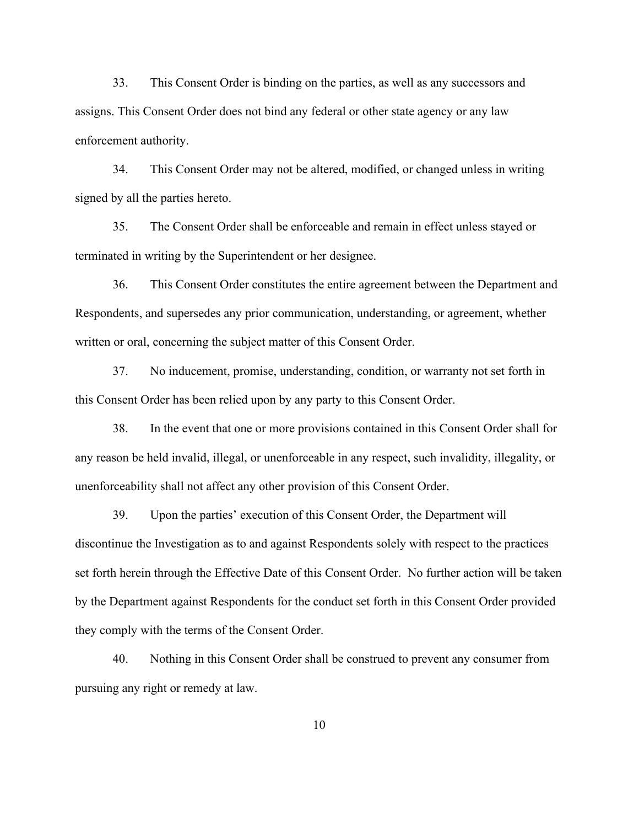33. This Consent Order is binding on the parties, as well as any successors and assigns. This Consent Order does not bind any federal or other state agency or any law enforcement authority.

34. This Consent Order may not be altered, modified, or changed unless in writing signed by all the parties hereto.

35. The Consent Order shall be enforceable and remain in effect unless stayed or terminated in writing by the Superintendent or her designee.

36. This Consent Order constitutes the entire agreement between the Department and Respondents, and supersedes any prior communication, understanding, or agreement, whether written or oral, concerning the subject matter of this Consent Order.

37. No inducement, promise, understanding, condition, or warranty not set forth in this Consent Order has been relied upon by any party to this Consent Order.

38. In the event that one or more provisions contained in this Consent Order shall for any reason be held invalid, illegal, or unenforceable in any respect, such invalidity, illegality, or unenforceability shall not affect any other provision of this Consent Order.

39. Upon the parties' execution of this Consent Order, the Department will discontinue the Investigation as to and against Respondents solely with respect to the practices set forth herein through the Effective Date of this Consent Order. No further action will be taken by the Department against Respondents for the conduct set forth in this Consent Order provided they comply with the terms of the Consent Order.

40. Nothing in this Consent Order shall be construed to prevent any consumer from pursuing any right or remedy at law.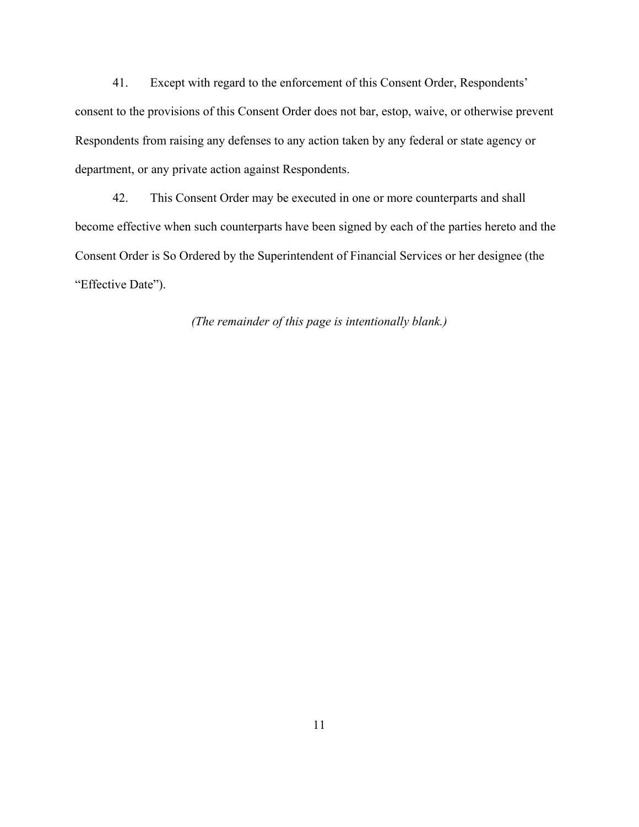41. Except with regard to the enforcement of this Consent Order, Respondents' consent to the provisions of this Consent Order does not bar, estop, waive, or otherwise prevent Respondents from raising any defenses to any action taken by any federal or state agency or department, or any private action against Respondents.

42. This Consent Order may be executed in one or more counterparts and shall become effective when such counterparts have been signed by each of the parties hereto and the Consent Order is So Ordered by the Superintendent of Financial Services or her designee (the "Effective Date").

*(The remainder of this page is intentionally blank.)*